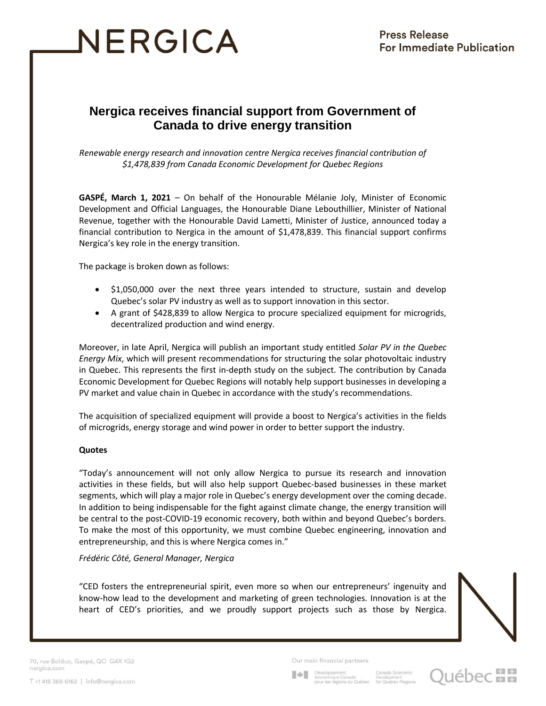# NERGICA

# **Nergica receives financial support from Government of Canada to drive energy transition**

*Renewable energy research and innovation centre Nergica receives financial contribution of \$1,478,839 from Canada Economic Development for Quebec Regions*

**GASPÉ, March 1, 2021** – On behalf of the Honourable Mélanie Joly, Minister of Economic Development and Official Languages, the Honourable Diane Lebouthillier, Minister of National Revenue, together with the Honourable David Lametti, Minister of Justice, announced today a financial contribution to Nergica in the amount of \$1,478,839. This financial support confirms Nergica's key role in the energy transition.

The package is broken down as follows:

- \$1,050,000 over the next three years intended to structure, sustain and develop Quebec's solar PV industry as well as to support innovation in this sector.
- A grant of \$428,839 to allow Nergica to procure specialized equipment for microgrids, decentralized production and wind energy.

Moreover, in late April, Nergica will publish an important study entitled *Solar PV in the Quebec Energy Mix*, which will present recommendations for structuring the solar photovoltaic industry in Quebec. This represents the first in-depth study on the subject. The contribution by Canada Economic Development for Quebec Regions will notably help support businesses in developing a PV market and value chain in Quebec in accordance with the study's recommendations.

The acquisition of specialized equipment will provide a boost to Nergica's activities in the fields of microgrids, energy storage and wind power in order to better support the industry.

#### **Quotes**

"Today's announcement will not only allow Nergica to pursue its research and innovation activities in these fields, but will also help support Quebec-based businesses in these market segments, which will play a major role in Quebec's energy development over the coming decade. In addition to being indispensable for the fight against climate change, the energy transition will be central to the post-COVID-19 economic recovery, both within and beyond Quebec's borders. To make the most of this opportunity, we must combine Quebec engineering, innovation and entrepreneurship, and this is where Nergica comes in."

*Frédéric Côté, General Manager, Nergica*

"CED fosters the entrepreneurial spirit, even more so when our entrepreneurs' ingenuity and know-how lead to the development and marketing of green technologies. Innovation is at the heart of CED's priorities, and we proudly support projects such as those by Nergica.



70, rue Bolduc, Gaspé, QC G4X 1G2 nergica.com

Our main financial partners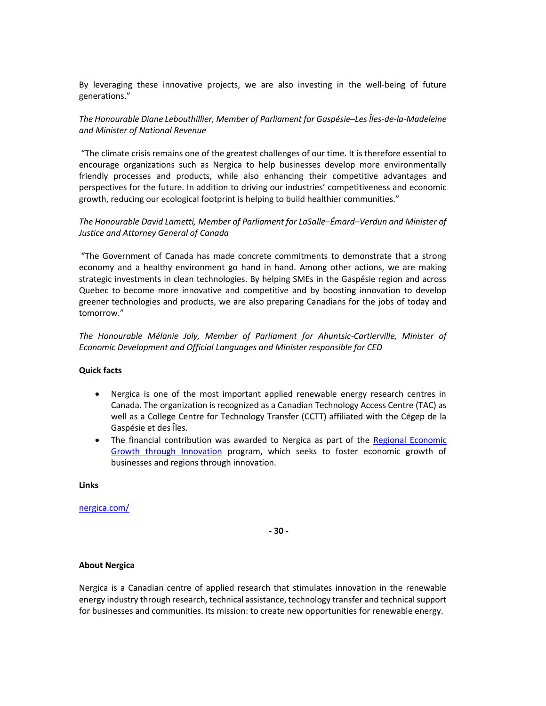By leveraging these innovative projects, we are also investing in the well-being of future generations."

### *The Honourable Diane Lebouthillier, Member of Parliament for Gaspésie–Les Îles-de-la-Madeleine and Minister of National Revenue*

"The climate crisis remains one of the greatest challenges of our time. It is therefore essential to encourage organizations such as Nergica to help businesses develop more environmentally friendly processes and products, while also enhancing their competitive advantages and perspectives for the future. In addition to driving our industries' competitiveness and economic growth, reducing our ecological footprint is helping to build healthier communities."

## *The Honourable David Lametti, Member of Parliament for LaSalle–Émard–Verdun and Minister of Justice and Attorney General of Canada*

"The Government of Canada has made concrete commitments to demonstrate that a strong economy and a healthy environment go hand in hand. Among other actions, we are making strategic investments in clean technologies. By helping SMEs in the Gaspésie region and across Quebec to become more innovative and competitive and by boosting innovation to develop greener technologies and products, we are also preparing Canadians for the jobs of today and tomorrow."

*The Honourable Mélanie Joly, Member of Parliament for Ahuntsic-Cartierville, Minister of Economic Development and Official Languages and Minister responsible for CED*

#### **Quick facts**

- Nergica is one of the most important applied renewable energy research centres in Canada. The organization is recognized as a Canadian Technology Access Centre (TAC) as well as a College Centre for Technology Transfer (CCTT) affiliated with the Cégep de la Gaspésie et des Îles.
- The financial contribution was awarded to Nergica as part of the Regional Economic [Growth through Innovation](https://dec.canada.ca/eng/programs/regi/index.html) program, which seeks to foster economic growth of businesses and regions through innovation.

**Links**

#### [nergica.com/](https://nergica.com/en/pv-solar-power/)

**- 30 -**

#### **About Nergica**

Nergica is a Canadian centre of applied research that stimulates innovation in the renewable energy industry through research, technical assistance, technology transfer and technical support for businesses and communities. Its mission: to create new opportunities for renewable energy.